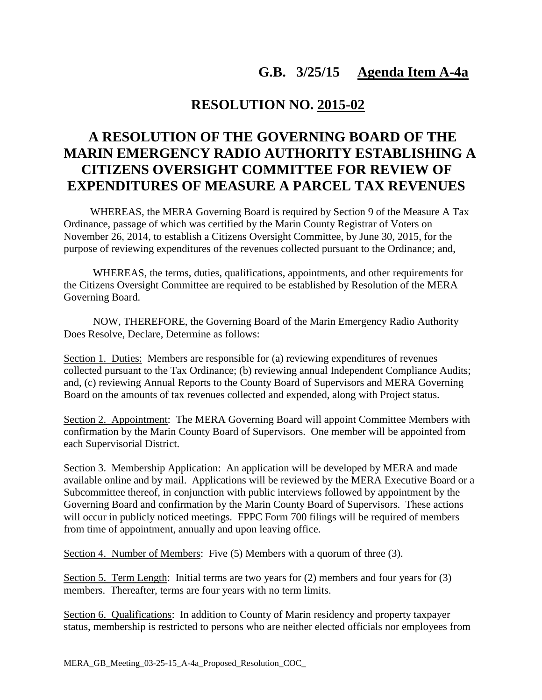## **G.B. 3/25/15 Agenda Item A-4a**

## **RESOLUTION NO. 2015-02**

## **A RESOLUTION OF THE GOVERNING BOARD OF THE MARIN EMERGENCY RADIO AUTHORITY ESTABLISHING A CITIZENS OVERSIGHT COMMITTEE FOR REVIEW OF EXPENDITURES OF MEASURE A PARCEL TAX REVENUES**

 WHEREAS, the MERA Governing Board is required by Section 9 of the Measure A Tax Ordinance, passage of which was certified by the Marin County Registrar of Voters on November 26, 2014, to establish a Citizens Oversight Committee, by June 30, 2015, for the purpose of reviewing expenditures of the revenues collected pursuant to the Ordinance; and,

 WHEREAS, the terms, duties, qualifications, appointments, and other requirements for the Citizens Oversight Committee are required to be established by Resolution of the MERA Governing Board.

 NOW, THEREFORE, the Governing Board of the Marin Emergency Radio Authority Does Resolve, Declare, Determine as follows:

Section 1. Duties: Members are responsible for (a) reviewing expenditures of revenues collected pursuant to the Tax Ordinance; (b) reviewing annual Independent Compliance Audits; and, (c) reviewing Annual Reports to the County Board of Supervisors and MERA Governing Board on the amounts of tax revenues collected and expended, along with Project status.

Section 2. Appointment: The MERA Governing Board will appoint Committee Members with confirmation by the Marin County Board of Supervisors. One member will be appointed from each Supervisorial District.

Section 3. Membership Application: An application will be developed by MERA and made available online and by mail. Applications will be reviewed by the MERA Executive Board or a Subcommittee thereof, in conjunction with public interviews followed by appointment by the Governing Board and confirmation by the Marin County Board of Supervisors. These actions will occur in publicly noticed meetings. FPPC Form 700 filings will be required of members from time of appointment, annually and upon leaving office.

Section 4. Number of Members: Five (5) Members with a quorum of three (3).

Section 5. Term Length: Initial terms are two years for  $(2)$  members and four years for  $(3)$ members. Thereafter, terms are four years with no term limits.

Section 6. Qualifications: In addition to County of Marin residency and property taxpayer status, membership is restricted to persons who are neither elected officials nor employees from